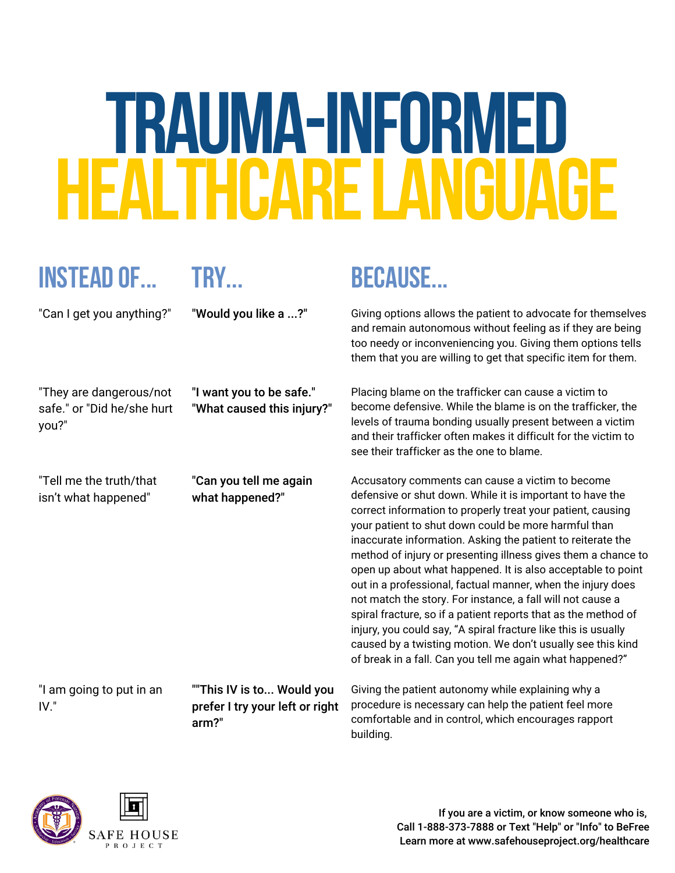# **TRAUMA-INFORMED HEARE I ANGITAGE**

## **Instead of... Try... Because...**

"They are dangerous/not safe." or "Did he/she hurt you?"

"I want you to be safe." "What caused this injury?"

"Tell me the truth/that isn't what happened"

"Can you tell me again what happened?"

"I am going to put in an IV."

""This IV is to... Would you prefer I try your left or right arm?"

"Can I get you anything?" "Would you like a ...?" Giving options allows the patient to advocate for themselves and remain autonomous without feeling as if they are being too needy or inconveniencing you. Giving them options tells them that you are willing to get that specific item for them.

> Placing blame on the trafficker can cause a victim to become defensive. While the blame is on the trafficker, the levels of trauma bonding usually present between a victim and their trafficker often makes it difficult for the victim to see their trafficker as the one to blame.

Accusatory comments can cause a victim to become defensive or shut down. While it is important to have the correct information to properly treat your patient, causing your patient to shut down could be more harmful than inaccurate information. Asking the patient to reiterate the method of injury or presenting illness gives them a chance to open up about what happened. It is also acceptable to point out in a professional, factual manner, when the injury does not match the story. For instance, a fall will not cause a spiral fracture, so if a patient reports that as the method of injury, you could say, "A spiral fracture like this is usually caused by a twisting motion. We don't usually see this kind of break in a fall. Can you tell me again what happened?"

Giving the patient autonomy while explaining why a procedure is necessary can help the patient feel more comfortable and in control, which encourages rapport building.